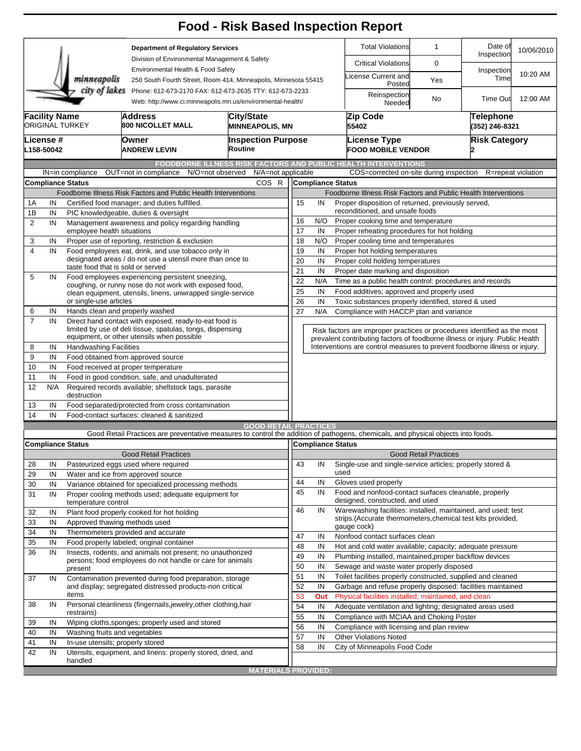|                      |                                                                                                                                        |                                                 |                                                                                                                                   | <b>Food - Risk Based Inspection Report</b>                                                                                                               |                                                         |                                                                                                             |                                                                                                                                  |                                                                             |                              |                             |                    |  |  |  |
|----------------------|----------------------------------------------------------------------------------------------------------------------------------------|-------------------------------------------------|-----------------------------------------------------------------------------------------------------------------------------------|----------------------------------------------------------------------------------------------------------------------------------------------------------|---------------------------------------------------------|-------------------------------------------------------------------------------------------------------------|----------------------------------------------------------------------------------------------------------------------------------|-----------------------------------------------------------------------------|------------------------------|-----------------------------|--------------------|--|--|--|
|                      |                                                                                                                                        |                                                 | <b>Department of Regulatory Services</b>                                                                                          |                                                                                                                                                          |                                                         |                                                                                                             |                                                                                                                                  | <b>Total Violations</b>                                                     | $\mathbf{1}$                 | Date of<br>Inspection       | 10/06/2010         |  |  |  |
|                      |                                                                                                                                        |                                                 | Division of Environmental Management & Safety                                                                                     |                                                                                                                                                          |                                                         |                                                                                                             |                                                                                                                                  | <b>Critical Violations</b>                                                  | 0                            |                             |                    |  |  |  |
|                      |                                                                                                                                        | minneapolis                                     |                                                                                                                                   | Environmental Health & Food Safety<br>250 South Fourth Street, Room 414, Minneapolis, Minnesota 55415                                                    |                                                         |                                                                                                             |                                                                                                                                  | License Current and<br>Posted                                               | Yes                          | Inspection<br>Time          | 10:20 AM           |  |  |  |
|                      | city of lakes<br>Phone: 612-673-2170 FAX: 612-673-2635 TTY: 612-673-2233<br>Web: http://www.ci.minneapolis.mn.us/environmental-health/ |                                                 |                                                                                                                                   |                                                                                                                                                          |                                                         |                                                                                                             |                                                                                                                                  | Reinspection<br>Needed                                                      | No                           | Time Out                    | 12:00 AM           |  |  |  |
| <b>Facility Name</b> |                                                                                                                                        | <b>ORIGINAL TURKEY</b>                          | City/State<br><b>Address</b><br>800 NICOLLET MALL<br><b>MINNEAPOLIS, MN</b>                                                       |                                                                                                                                                          |                                                         |                                                                                                             |                                                                                                                                  | Zip Code<br>55402                                                           |                              | Telephone<br>(352) 246-8321 |                    |  |  |  |
| <b>License</b> #     |                                                                                                                                        |                                                 |                                                                                                                                   | <b>Inspection Purpose</b>                                                                                                                                |                                                         |                                                                                                             |                                                                                                                                  | <b>License Type</b>                                                         |                              | <b>Risk Category</b>        |                    |  |  |  |
| L158-50042           |                                                                                                                                        |                                                 | Owner<br><b>ANDREW LEVIN</b>                                                                                                      | Routine                                                                                                                                                  |                                                         |                                                                                                             |                                                                                                                                  | <b>FOOD MOBILE VENDOR</b>                                                   |                              |                             |                    |  |  |  |
|                      |                                                                                                                                        |                                                 |                                                                                                                                   | <b>FOODBORNE ILLNESS RISK FACTORS AND PUBLIC HEALTH INTERVENTIONS</b>                                                                                    |                                                         |                                                                                                             |                                                                                                                                  |                                                                             |                              |                             |                    |  |  |  |
|                      |                                                                                                                                        | IN=in compliance<br><b>Compliance Status</b>    | OUT=not in compliance                                                                                                             | N/A=not applicable<br>N/O=not observed<br>COS R                                                                                                          |                                                         | <b>Compliance Status</b>                                                                                    |                                                                                                                                  | COS=corrected on-site during inspection                                     |                              |                             | R=repeat violation |  |  |  |
|                      |                                                                                                                                        |                                                 | Foodborne Illness Risk Factors and Public Health Interventions                                                                    |                                                                                                                                                          |                                                         |                                                                                                             |                                                                                                                                  |                                                                             |                              |                             |                    |  |  |  |
| 1A                   | IN<br>Certified food manager; and duties fulfilled.                                                                                    |                                                 |                                                                                                                                   |                                                                                                                                                          |                                                         |                                                                                                             | Foodborne Illness Risk Factors and Public Health Interventions<br>15<br>IN<br>Proper disposition of returned, previously served, |                                                                             |                              |                             |                    |  |  |  |
| 1B                   | IN                                                                                                                                     |                                                 | PIC knowledgeable, duties & oversight                                                                                             |                                                                                                                                                          | reconditioned, and unsafe foods                         |                                                                                                             |                                                                                                                                  |                                                                             |                              |                             |                    |  |  |  |
| $\overline{2}$       | IN                                                                                                                                     |                                                 | Management awareness and policy regarding handling                                                                                |                                                                                                                                                          | N/O<br>Proper cooking time and temperature<br>16        |                                                                                                             |                                                                                                                                  |                                                                             |                              |                             |                    |  |  |  |
|                      |                                                                                                                                        | employee health situations                      |                                                                                                                                   |                                                                                                                                                          | 17<br>IN<br>Proper reheating procedures for hot holding |                                                                                                             |                                                                                                                                  |                                                                             |                              |                             |                    |  |  |  |
| 3                    | IN                                                                                                                                     |                                                 | Proper use of reporting, restriction & exclusion                                                                                  |                                                                                                                                                          | 18                                                      | N/O                                                                                                         |                                                                                                                                  | Proper cooling time and temperatures                                        |                              |                             |                    |  |  |  |
| $\overline{4}$       | IN                                                                                                                                     |                                                 | Food employees eat, drink, and use tobacco only in<br>designated areas / do not use a utensil more than once to                   |                                                                                                                                                          |                                                         |                                                                                                             | 19<br>IN<br>Proper hot holding temperatures                                                                                      |                                                                             |                              |                             |                    |  |  |  |
|                      |                                                                                                                                        | taste food that is sold or served               | 20<br>IN<br>Proper cold holding temperatures                                                                                      |                                                                                                                                                          |                                                         |                                                                                                             |                                                                                                                                  |                                                                             |                              |                             |                    |  |  |  |
| 5                    | IN                                                                                                                                     |                                                 | Food employees experiencing persistent sneezing,                                                                                  | 21<br>IN<br>Proper date marking and disposition                                                                                                          |                                                         |                                                                                                             |                                                                                                                                  |                                                                             |                              |                             |                    |  |  |  |
|                      |                                                                                                                                        |                                                 | coughing, or runny nose do not work with exposed food,                                                                            | 22<br>Time as a public health control: procedures and records<br>N/A                                                                                     |                                                         |                                                                                                             |                                                                                                                                  |                                                                             |                              |                             |                    |  |  |  |
|                      |                                                                                                                                        | or single-use articles                          | clean equipment, utensils, linens, unwrapped single-service                                                                       | 25<br>IN<br>Food additives; approved and properly used                                                                                                   |                                                         |                                                                                                             |                                                                                                                                  |                                                                             |                              |                             |                    |  |  |  |
| 6                    | IN                                                                                                                                     | Hands clean and properly washed                 |                                                                                                                                   |                                                                                                                                                          | 26<br>27                                                | IN<br>Toxic substances properly identified, stored & used<br>N/A<br>Compliance with HACCP plan and variance |                                                                                                                                  |                                                                             |                              |                             |                    |  |  |  |
| $\overline{7}$       | IN                                                                                                                                     |                                                 | Direct hand contact with exposed, ready-to-eat food is<br>limited by use of deli tissue, spatulas, tongs, dispensing              |                                                                                                                                                          |                                                         |                                                                                                             |                                                                                                                                  |                                                                             |                              |                             |                    |  |  |  |
|                      |                                                                                                                                        |                                                 | equipment, or other utensils when possible                                                                                        | Risk factors are improper practices or procedures identified as the most<br>prevalent contributing factors of foodborne illness or injury. Public Health |                                                         |                                                                                                             |                                                                                                                                  |                                                                             |                              |                             |                    |  |  |  |
| 8                    | IN                                                                                                                                     |                                                 | <b>Handwashing Facilities</b>                                                                                                     |                                                                                                                                                          |                                                         |                                                                                                             |                                                                                                                                  | Interventions are control measures to prevent foodborne illness or injury.  |                              |                             |                    |  |  |  |
| 9                    | IN                                                                                                                                     |                                                 | Food obtained from approved source                                                                                                |                                                                                                                                                          |                                                         |                                                                                                             |                                                                                                                                  |                                                                             |                              |                             |                    |  |  |  |
| 10                   | IN                                                                                                                                     |                                                 | Food received at proper temperature                                                                                               |                                                                                                                                                          |                                                         |                                                                                                             |                                                                                                                                  |                                                                             |                              |                             |                    |  |  |  |
| 11                   | IN                                                                                                                                     | Food in good condition, safe, and unadulterated |                                                                                                                                   |                                                                                                                                                          |                                                         |                                                                                                             |                                                                                                                                  |                                                                             |                              |                             |                    |  |  |  |
| 12                   | N/A                                                                                                                                    | destruction                                     | Required records available; shellstock tags, parasite                                                                             |                                                                                                                                                          |                                                         |                                                                                                             |                                                                                                                                  |                                                                             |                              |                             |                    |  |  |  |
| 13                   | IN                                                                                                                                     |                                                 | Food separated/protected from cross contamination                                                                                 |                                                                                                                                                          |                                                         |                                                                                                             |                                                                                                                                  |                                                                             |                              |                             |                    |  |  |  |
| 14                   | IN                                                                                                                                     | Food-contact surfaces: cleaned & sanitized      |                                                                                                                                   |                                                                                                                                                          |                                                         |                                                                                                             |                                                                                                                                  |                                                                             |                              |                             |                    |  |  |  |
|                      |                                                                                                                                        |                                                 |                                                                                                                                   | <b>GOOD RETAIL PRACTICES</b>                                                                                                                             |                                                         |                                                                                                             |                                                                                                                                  |                                                                             |                              |                             |                    |  |  |  |
|                      |                                                                                                                                        |                                                 | Good Retail Practices are preventative measures to control the addition of pathogens, chemicals, and physical objects into foods. |                                                                                                                                                          |                                                         |                                                                                                             |                                                                                                                                  |                                                                             |                              |                             |                    |  |  |  |
|                      |                                                                                                                                        | <b>Compliance Status</b>                        |                                                                                                                                   |                                                                                                                                                          |                                                         | Compliance Status                                                                                           |                                                                                                                                  |                                                                             |                              |                             |                    |  |  |  |
|                      |                                                                                                                                        |                                                 | <b>Good Retail Practices</b>                                                                                                      |                                                                                                                                                          |                                                         |                                                                                                             |                                                                                                                                  |                                                                             | <b>Good Retail Practices</b> |                             |                    |  |  |  |
| 28                   | IN                                                                                                                                     |                                                 | Pasteurized eggs used where required                                                                                              |                                                                                                                                                          | 43                                                      | IN                                                                                                          |                                                                                                                                  | Single-use and single-service articles; properly stored &                   |                              |                             |                    |  |  |  |
| 29                   | IN                                                                                                                                     |                                                 | Water and ice from approved source                                                                                                |                                                                                                                                                          | 44                                                      | IN                                                                                                          | used                                                                                                                             | Gloves used properly                                                        |                              |                             |                    |  |  |  |
| 30                   | IN                                                                                                                                     |                                                 | Variance obtained for specialized processing methods                                                                              |                                                                                                                                                          | 45                                                      | IN                                                                                                          |                                                                                                                                  | Food and nonfood-contact surfaces cleanable, properly                       |                              |                             |                    |  |  |  |
| 31                   | IN                                                                                                                                     | temperature control                             | Proper cooling methods used; adequate equipment for                                                                               |                                                                                                                                                          |                                                         |                                                                                                             |                                                                                                                                  | designed, constructed, and used                                             |                              |                             |                    |  |  |  |
| 32                   | IN                                                                                                                                     |                                                 | Plant food properly cooked for hot holding                                                                                        |                                                                                                                                                          | 46                                                      | IN                                                                                                          |                                                                                                                                  | Warewashing facilities: installed, maintained, and used; test               |                              |                             |                    |  |  |  |
| 33                   | IN                                                                                                                                     | Approved thawing methods used                   |                                                                                                                                   |                                                                                                                                                          |                                                         |                                                                                                             |                                                                                                                                  | strips. (Accurate thermometers, chemical test kits provided,<br>gauge cock) |                              |                             |                    |  |  |  |
| 34                   | IN                                                                                                                                     |                                                 | Thermometers provided and accurate                                                                                                |                                                                                                                                                          | 47                                                      | IN                                                                                                          |                                                                                                                                  | Nonfood contact surfaces clean                                              |                              |                             |                    |  |  |  |
| 35                   | IN                                                                                                                                     |                                                 | Food properly labeled; original container                                                                                         |                                                                                                                                                          |                                                         |                                                                                                             |                                                                                                                                  | Hot and cold water available; capacity; adequate pressure                   |                              |                             |                    |  |  |  |
| 36                   | IN                                                                                                                                     |                                                 | Insects, rodents, and animals not present; no unauthorized                                                                        |                                                                                                                                                          | 48<br>49                                                | IN<br>IN                                                                                                    |                                                                                                                                  | Plumbing installed, maintained, proper backflow devices                     |                              |                             |                    |  |  |  |
|                      |                                                                                                                                        | present                                         | persons; food employees do not handle or care for animals                                                                         |                                                                                                                                                          | 50                                                      | IN                                                                                                          |                                                                                                                                  | Sewage and waste water properly disposed                                    |                              |                             |                    |  |  |  |
| 37                   | IN                                                                                                                                     |                                                 | Contamination prevented during food preparation, storage                                                                          |                                                                                                                                                          | 51                                                      | IN                                                                                                          |                                                                                                                                  | Toilet facilities properly constructed, supplied and cleaned                |                              |                             |                    |  |  |  |
|                      |                                                                                                                                        |                                                 | and display; segregated distressed products-non critical                                                                          |                                                                                                                                                          | 52                                                      | IN                                                                                                          |                                                                                                                                  | Garbage and refuse properly disposed: facilities maintained                 |                              |                             |                    |  |  |  |
|                      |                                                                                                                                        | items                                           |                                                                                                                                   |                                                                                                                                                          |                                                         | Out                                                                                                         |                                                                                                                                  | Physical facilities installed, maintained, and clean                        |                              |                             |                    |  |  |  |
| 38                   | IN                                                                                                                                     |                                                 | Personal cleanliness (fingernails, jewelry, other clothing, hair                                                                  |                                                                                                                                                          | 54                                                      | IN                                                                                                          |                                                                                                                                  | Adequate ventilation and lighting; designated areas used                    |                              |                             |                    |  |  |  |
|                      |                                                                                                                                        | restrains)                                      |                                                                                                                                   |                                                                                                                                                          |                                                         | IN                                                                                                          |                                                                                                                                  | Compliance with MCIAA and Choking Poster                                    |                              |                             |                    |  |  |  |
| 39                   | IN                                                                                                                                     |                                                 | Wiping cloths, sponges; properly used and stored                                                                                  |                                                                                                                                                          | 56                                                      | IN                                                                                                          |                                                                                                                                  | Compliance with licensing and plan review                                   |                              |                             |                    |  |  |  |
| 40                   | IN                                                                                                                                     | Washing fruits and vegetables                   |                                                                                                                                   |                                                                                                                                                          | 57                                                      | IN                                                                                                          |                                                                                                                                  | <b>Other Violations Noted</b>                                               |                              |                             |                    |  |  |  |
| 41<br>42             | IN                                                                                                                                     | In-use utensils; properly stored                |                                                                                                                                   |                                                                                                                                                          | 58                                                      | IN                                                                                                          |                                                                                                                                  | City of Minneapolis Food Code                                               |                              |                             |                    |  |  |  |
|                      | IN                                                                                                                                     | handled                                         | Utensils, equipment, and linens: properly stored, dried, and                                                                      |                                                                                                                                                          |                                                         |                                                                                                             |                                                                                                                                  |                                                                             |                              |                             |                    |  |  |  |
|                      |                                                                                                                                        |                                                 |                                                                                                                                   | <b>MATERIALS PROVIDED:</b>                                                                                                                               |                                                         |                                                                                                             |                                                                                                                                  |                                                                             |                              |                             |                    |  |  |  |